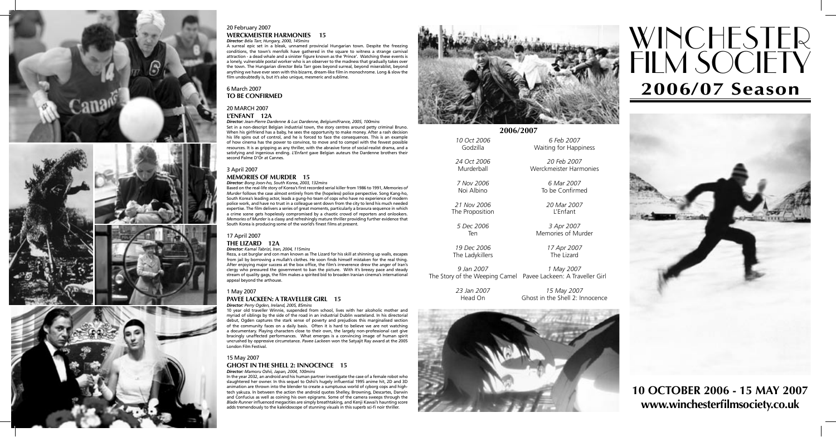# WINCHESTER<sub>.</sub> FILM SOCIETY **2006/07 Season**



**10 OCTOBER 2006 - 15 MAY 2007 www.winchesterfilmsociety.co.uk**







#### 20 February 2007 **WERCKMEISTER HARMONIES 15** *Director: Béla Tarr, Hungary, 2000, 145mins*

A surreal epic set in a bleak, unnamed provincial Hungarian town. Despite the freezing conditions, the town's menfolk have gathered in the square to witness a strange carnival attraction - a dead whale and a sinister figure known as the 'Prince'. Watching these events is a lonely, vulnerable postal worker who is an observer to the madness that gradually takes over the town. The Hungarian director Bela Tarr goes beyond surreal, beyond miserablist, beyond anything we have ever seen with this bizarre, dream-like film in monochrome. Long & slow the film undoubtedly is, but it's also unique, mesmeric and sublime.

### 6 March 2007 **TO BE CONFIRMED**

#### 20 MARCH 2007 **L'ENFANT 12A**

*Director: Jean-Pierre Dardenne & Luc Dardenne, Belgium/France, 2005, 100mins* Set in a non-descript Belgian industrial town, the story centres around petty criminal Bruno. When his girlfriend has a baby, he sees the opportunity to make money. After a rash decision his life spins out of control, and he is forced to face the consequences. This is an example of how cinema has the power to convince, to move and to compel with the fewest possible resources. It is as gripping as any thriller, with the abrasive force of social-realist drama, and a satisfying and ingenious ending. *L'Enfant* gave Belgian auteurs the Dardenne brothers their second Palme D'Or at Cannes.

### 3 April 2007 **MEMORIES OF MURDER 15**

*Director: Bong Joon-ho, South Korea, 2003, 132mins*

Based on the real-life story of Korea's first recorded serial killer from 1986 to 1991, *Memories of Murder* follows the case almost entirely from the (hopeless) police perspective. Song Kang-ho, South Korea's leading actor, leads a gung-ho team of cops who have no experience of modern police work, and have no trust in a colleague sent down from the city to lend his much needed expertise. The film delivers a series of great moments, particularly a bravura sequence in which a crime scene gets hopelessly compromised by a chaotic crowd of reporters and onlookers. *Memories of Murder* is a classy and refreshingly mature thriller providing further evidence that South Korea is producing some of the world's finest films at present.

### 17 April 2007 **THE LIZARD 12A**

*Director: Kamal Tabrizi, Iran, 2004, 115mins*

Reza, a cat burglar and con man known as The Lizard for his skill at shinning up walls, escapes from jail by borrowing a mullah's clothes. He soon finds himself mistaken for the real thing. After enjoying major success at the box office, the film's irreverence drew the anger of Iran's clergy who pressured the government to ban the picture. With it's breezy pace and steady stream of quality gags, the film makes a spirited bid to broaden Iranian cinema's international appeal beyond the arthouse.

#### 1 May 2007 **PAVEE LACKEEN: A TRAVELLER GIRL 15** *Director: Perry Ogden, Ireland, 2005, 85mins*

10 year old traveller Winnie, suspended from school, lives with her alcoholic mother and myriad of siblings by the side of the road in an industrial Dublin wasteland. In his directorial debut, Ogden captures the stark sense of poverty and prejudices this marginalised section of the community faces on a daily basis. Often it is hard to believe we are not watching a documentary. Playing characters close to their own, the largely non-professional cast give bracingly unaffected performances. What emerges is a convincing image of human spirit uncrushed by oppressive circumstance. *Pavee Lackeen* won the Satyajit Ray award at the 2005 London Film Festival.

#### 15 May 2007 **GHOST IN THE SHELL 2: INNOCENCE 15** *Director: Mamoru Oshii, Japan, 2004, 100mins*

In the year 2032, an android and his human partner investigate the case of a female robot who slaughtered her owner. In this sequel to Oshii's hugely influential 1995 anime hit, 2D and 3D animation are thrown into the blender to create a sumptuous world of cyborg cops and hightech yakuza. In between the action the android quotes Shelley, Browning, Descartes, Darwin and Confucius as well as coining his own epigrams. Some of the camera sweeps through the *Blade Runner* influenced megacities are simply breathtaking, and Kenji Kawai's haunting score adds tremendously to the kaleidoscope of stunning visuals in this superb sci-fi noir thriller.



|                    | 2006/2007              |
|--------------------|------------------------|
| <i>10 Oct 2006</i> | 6 Feb 2007             |
| Godzilla           | Waiting for Happiness  |
| 24 Oct 2006        | 20 Feb 2007            |
| Murderball         | Werckmeister Harmonies |
| 7 Nov 2006         | 6 Mar 2007             |
| Noi Albino         | To be Confirmed        |
| 21 Nov 2006        | 20 Mar 2007            |
| The Proposition    | L'Enfant               |
| 5 Dec 2006         | 3 Apr 2007             |
| Ten                | Memories of Murder     |
| 19 Dec 2006        | 17 Apr 2007            |
| The Ladykillers    | The Lizard             |
| 9 Jan 2007         | 1 May 2007             |

The Story of the Weeping Camel Pavee Lackeen: A Traveller Girl

| 23 Jan 2007 | 15 May 2007                     |
|-------------|---------------------------------|
| Head On     | Ghost in the Shell 2: Innocence |